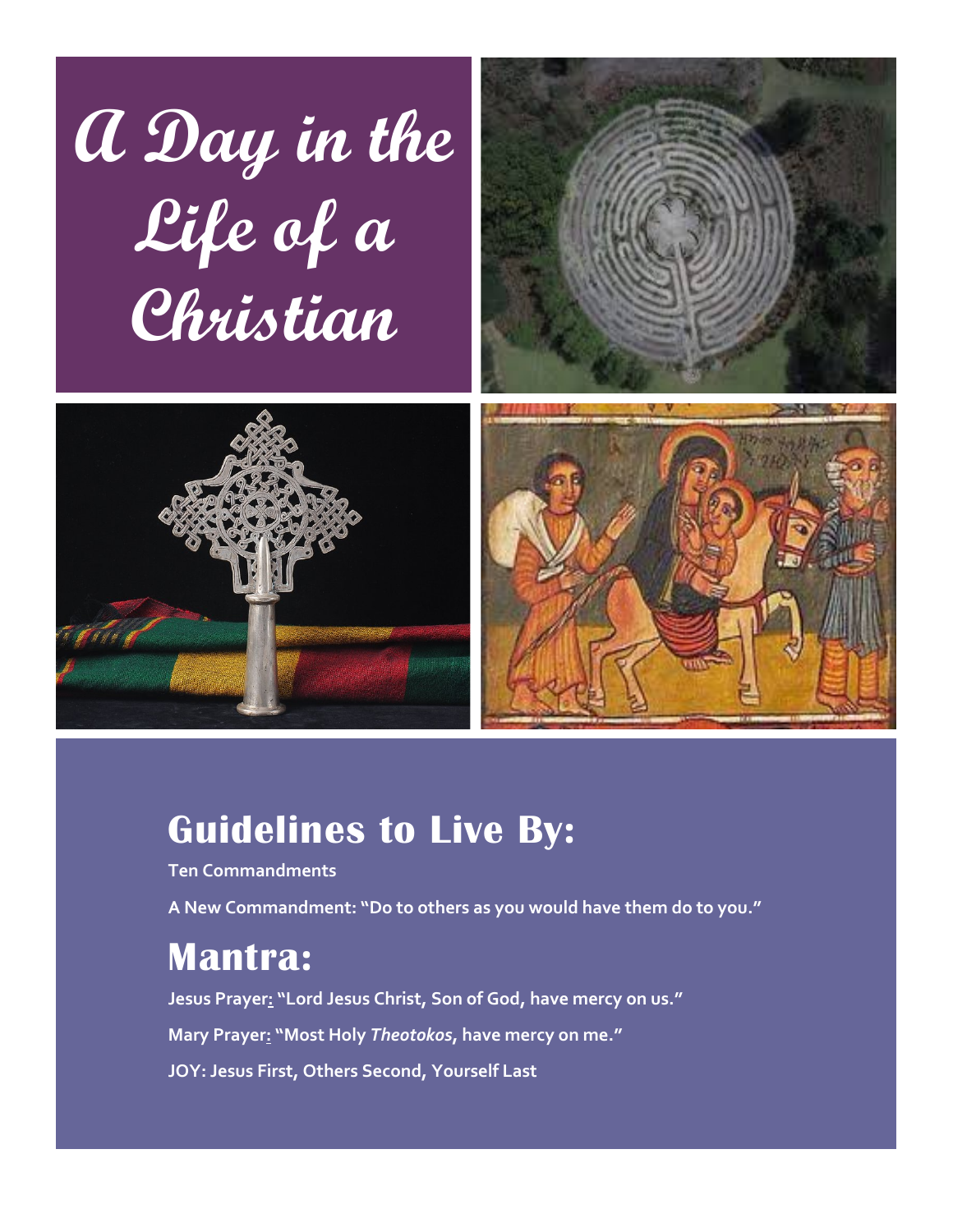





## **Guidelines to Live By:**

**Ten Commandments**

**A New Commandment: "Do to others as you would have them do to you."**

### **Mantra:**

**Jesus Prayer: "Lord Jesus Christ, Son of God, have mercy on us." Mary Prayer: "Most Holy** *Theotokos***, have mercy on me." JOY: Jesus First, Others Second, Yourself Last**